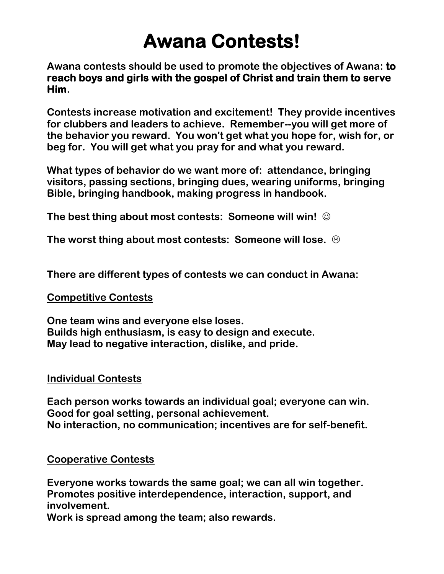# **Awana Contests!**

**Awana contests should be used to promote the objectives of Awana: to reach boys and girls with the gospel of Christ and train them to serve Him.**

**Contests increase motivation and excitement! They provide incentives for clubbers and leaders to achieve. Remember--you will get more of the behavior you reward. You won't get what you hope for, wish for, or beg for. You will get what you pray for and what you reward.**

**What types of behavior do we want more of: attendance, bringing visitors, passing sections, bringing dues, wearing uniforms, bringing Bible, bringing handbook, making progress in handbook.**

**The best thing about most contests: Someone will win!** 

**The worst thing about most contests: Someone will lose.** 

**There are different types of contests we can conduct in Awana:**

#### **Competitive Contests**

**One team wins and everyone else loses. Builds high enthusiasm, is easy to design and execute. May lead to negative interaction, dislike, and pride.**

#### **Individual Contests**

**Each person works towards an individual goal; everyone can win. Good for goal setting, personal achievement. No interaction, no communication; incentives are for self-benefit.**

## **Cooperative Contests**

**Everyone works towards the same goal; we can all win together. Promotes positive interdependence, interaction, support, and involvement.**

**Work is spread among the team; also rewards.**